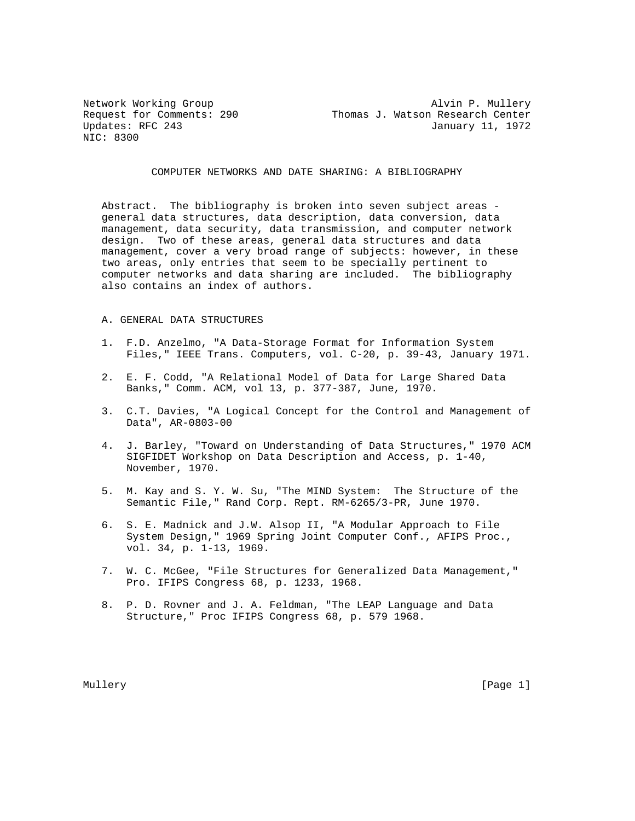NIC: 8300

Network Working Group and Alvin P. Mullery Request for Comments: 290 Thomas J. Watson Research Center Updates: RFC 243 January 11, 1972

COMPUTER NETWORKS AND DATE SHARING: A BIBLIOGRAPHY

 Abstract. The bibliography is broken into seven subject areas general data structures, data description, data conversion, data management, data security, data transmission, and computer network design. Two of these areas, general data structures and data management, cover a very broad range of subjects: however, in these two areas, only entries that seem to be specially pertinent to computer networks and data sharing are included. The bibliography also contains an index of authors.

### A. GENERAL DATA STRUCTURES

- 1. F.D. Anzelmo, "A Data-Storage Format for Information System Files," IEEE Trans. Computers, vol. C-20, p. 39-43, January 1971.
- 2. E. F. Codd, "A Relational Model of Data for Large Shared Data Banks," Comm. ACM, vol 13, p. 377-387, June, 1970.
- 3. C.T. Davies, "A Logical Concept for the Control and Management of Data", AR-0803-00
- 4. J. Barley, "Toward on Understanding of Data Structures," 1970 ACM SIGFIDET Workshop on Data Description and Access, p. 1-40, November, 1970.
- 5. M. Kay and S. Y. W. Su, "The MIND System: The Structure of the Semantic File," Rand Corp. Rept. RM-6265/3-PR, June 1970.
- 6. S. E. Madnick and J.W. Alsop II, "A Modular Approach to File System Design," 1969 Spring Joint Computer Conf., AFIPS Proc., vol. 34, p. 1-13, 1969.
- 7. W. C. McGee, "File Structures for Generalized Data Management," Pro. IFIPS Congress 68, p. 1233, 1968.
- 8. P. D. Rovner and J. A. Feldman, "The LEAP Language and Data Structure," Proc IFIPS Congress 68, p. 579 1968.

Mullery [Page 1] Number 2012 19:20 20:20 20:20 20:20 20:20 20:20 20:20 20:20 20:20 20:20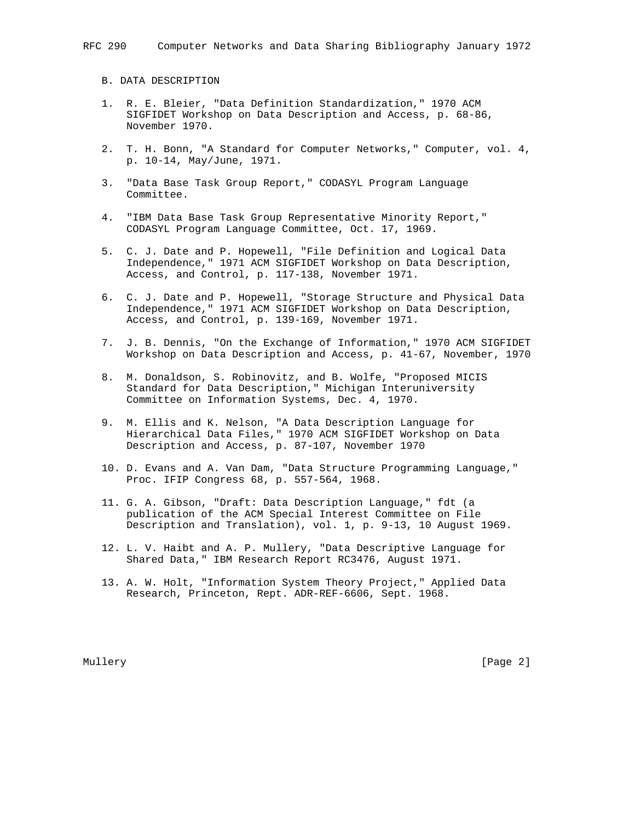B. DATA DESCRIPTION

- 1. R. E. Bleier, "Data Definition Standardization," 1970 ACM SIGFIDET Workshop on Data Description and Access, p. 68-86, November 1970.
- 2. T. H. Bonn, "A Standard for Computer Networks," Computer, vol. 4, p. 10-14, May/June, 1971.
- 3. "Data Base Task Group Report," CODASYL Program Language Committee.
- 4. "IBM Data Base Task Group Representative Minority Report," CODASYL Program Language Committee, Oct. 17, 1969.
- 5. C. J. Date and P. Hopewell, "File Definition and Logical Data Independence," 1971 ACM SIGFIDET Workshop on Data Description, Access, and Control, p. 117-138, November 1971.
- 6. C. J. Date and P. Hopewell, "Storage Structure and Physical Data Independence," 1971 ACM SIGFIDET Workshop on Data Description, Access, and Control, p. 139-169, November 1971.
- 7. J. B. Dennis, "On the Exchange of Information," 1970 ACM SIGFIDET Workshop on Data Description and Access, p. 41-67, November, 1970
- 8. M. Donaldson, S. Robinovitz, and B. Wolfe, "Proposed MICIS Standard for Data Description," Michigan Interuniversity Committee on Information Systems, Dec. 4, 1970.
- 9. M. Ellis and K. Nelson, "A Data Description Language for Hierarchical Data Files," 1970 ACM SIGFIDET Workshop on Data Description and Access, p. 87-107, November 1970
- 10. D. Evans and A. Van Dam, "Data Structure Programming Language," Proc. IFIP Congress 68, p. 557-564, 1968.
- 11. G. A. Gibson, "Draft: Data Description Language," fdt (a publication of the ACM Special Interest Committee on File Description and Translation), vol. 1, p. 9-13, 10 August 1969.
- 12. L. V. Haibt and A. P. Mullery, "Data Descriptive Language for Shared Data," IBM Research Report RC3476, August 1971.
- 13. A. W. Holt, "Information System Theory Project," Applied Data Research, Princeton, Rept. ADR-REF-6606, Sept. 1968.

Mullery [Page 2]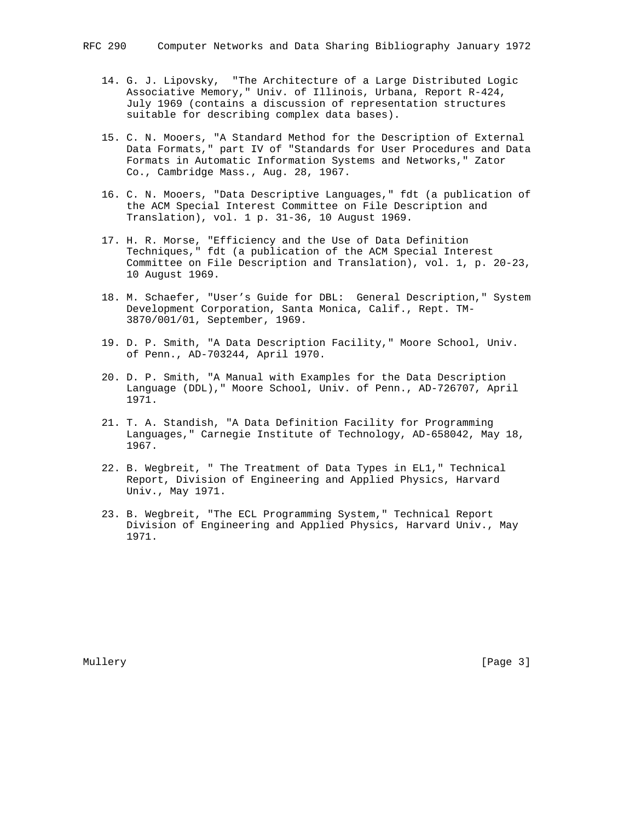- 14. G. J. Lipovsky, "The Architecture of a Large Distributed Logic Associative Memory," Univ. of Illinois, Urbana, Report R-424, July 1969 (contains a discussion of representation structures suitable for describing complex data bases).
- 15. C. N. Mooers, "A Standard Method for the Description of External Data Formats," part IV of "Standards for User Procedures and Data Formats in Automatic Information Systems and Networks," Zator Co., Cambridge Mass., Aug. 28, 1967.
- 16. C. N. Mooers, "Data Descriptive Languages," fdt (a publication of the ACM Special Interest Committee on File Description and Translation), vol. 1 p. 31-36, 10 August 1969.
- 17. H. R. Morse, "Efficiency and the Use of Data Definition Techniques," fdt (a publication of the ACM Special Interest Committee on File Description and Translation), vol. 1, p. 20-23, 10 August 1969.
- 18. M. Schaefer, "User's Guide for DBL: General Description," System Development Corporation, Santa Monica, Calif., Rept. TM- 3870/001/01, September, 1969.
- 19. D. P. Smith, "A Data Description Facility," Moore School, Univ. of Penn., AD-703244, April 1970.
- 20. D. P. Smith, "A Manual with Examples for the Data Description Language (DDL)," Moore School, Univ. of Penn., AD-726707, April 1971.
- 21. T. A. Standish, "A Data Definition Facility for Programming Languages," Carnegie Institute of Technology, AD-658042, May 18, 1967.
- 22. B. Wegbreit, " The Treatment of Data Types in EL1," Technical Report, Division of Engineering and Applied Physics, Harvard Univ., May 1971.
- 23. B. Wegbreit, "The ECL Programming System," Technical Report Division of Engineering and Applied Physics, Harvard Univ., May 1971.

Mullery [Page 3] [Page 3] [Page 3] [Page 3] [Page 3] [Page 3] [Page 3] [Page 3] [Page 3] [Page 3] [Page 3] [Page 3] [Page 3] [Page 3] [Page 3] [Page 3] [Page 3] [Page 3] [Page 3] [Page 3] [Page 3] [Page 3] [Page 3] [Page 3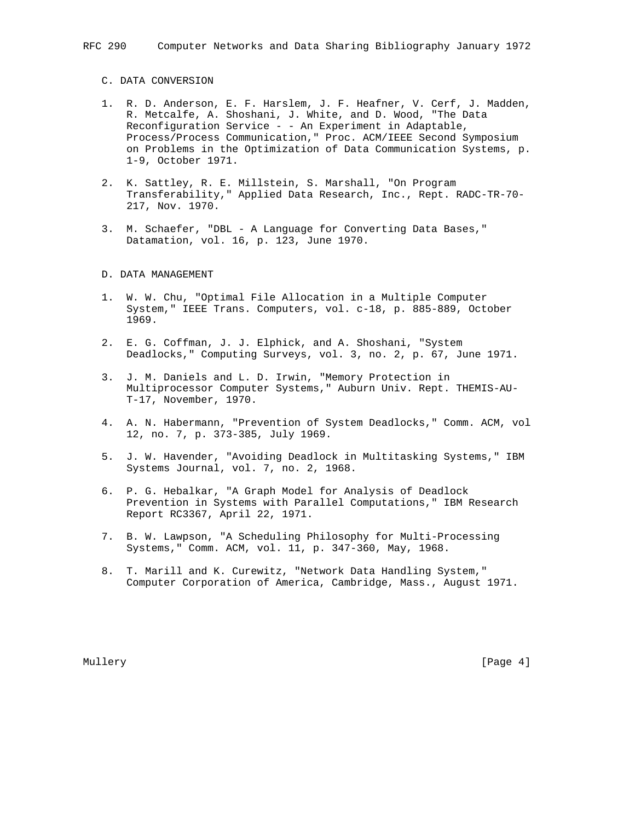### C. DATA CONVERSION

- 1. R. D. Anderson, E. F. Harslem, J. F. Heafner, V. Cerf, J. Madden, R. Metcalfe, A. Shoshani, J. White, and D. Wood, "The Data Reconfiguration Service - - An Experiment in Adaptable, Process/Process Communication," Proc. ACM/IEEE Second Symposium on Problems in the Optimization of Data Communication Systems, p. 1-9, October 1971.
- 2. K. Sattley, R. E. Millstein, S. Marshall, "On Program Transferability," Applied Data Research, Inc., Rept. RADC-TR-70- 217, Nov. 1970.
- 3. M. Schaefer, "DBL A Language for Converting Data Bases," Datamation, vol. 16, p. 123, June 1970.

### D. DATA MANAGEMENT

- 1. W. W. Chu, "Optimal File Allocation in a Multiple Computer System," IEEE Trans. Computers, vol. c-18, p. 885-889, October 1969.
- 2. E. G. Coffman, J. J. Elphick, and A. Shoshani, "System Deadlocks," Computing Surveys, vol. 3, no. 2, p. 67, June 1971.
- 3. J. M. Daniels and L. D. Irwin, "Memory Protection in Multiprocessor Computer Systems," Auburn Univ. Rept. THEMIS-AU- T-17, November, 1970.
- 4. A. N. Habermann, "Prevention of System Deadlocks," Comm. ACM, vol 12, no. 7, p. 373-385, July 1969.
- 5. J. W. Havender, "Avoiding Deadlock in Multitasking Systems," IBM Systems Journal, vol. 7, no. 2, 1968.
- 6. P. G. Hebalkar, "A Graph Model for Analysis of Deadlock Prevention in Systems with Parallel Computations," IBM Research Report RC3367, April 22, 1971.
- 7. B. W. Lawpson, "A Scheduling Philosophy for Multi-Processing Systems," Comm. ACM, vol. 11, p. 347-360, May, 1968.
- 8. T. Marill and K. Curewitz, "Network Data Handling System," Computer Corporation of America, Cambridge, Mass., August 1971.

Mullery [Page 4] [Page 4] [Page 4] [Page 4] [Page 4] [Page 4] [Page 4] [Page 4] [Page 4] [Page 4] [Page 4] [Page 4] [Page 4] [Page 4] [Page 4] [Page 4] [Page 4] [Page 4] [Page 4] [Page 4] [Page 4] [Page 4] [Page 4] [Page 4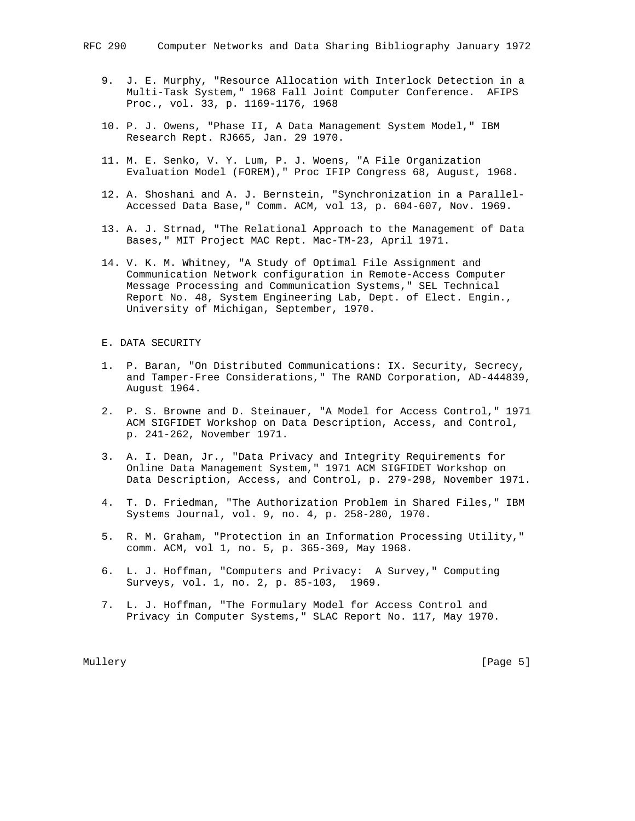- 9. J. E. Murphy, "Resource Allocation with Interlock Detection in a Multi-Task System," 1968 Fall Joint Computer Conference. AFIPS Proc., vol. 33, p. 1169-1176, 1968
	- 10. P. J. Owens, "Phase II, A Data Management System Model," IBM Research Rept. RJ665, Jan. 29 1970.
	- 11. M. E. Senko, V. Y. Lum, P. J. Woens, "A File Organization Evaluation Model (FOREM)," Proc IFIP Congress 68, August, 1968.
	- 12. A. Shoshani and A. J. Bernstein, "Synchronization in a Parallel- Accessed Data Base," Comm. ACM, vol 13, p. 604-607, Nov. 1969.
	- 13. A. J. Strnad, "The Relational Approach to the Management of Data Bases," MIT Project MAC Rept. Mac-TM-23, April 1971.
	- 14. V. K. M. Whitney, "A Study of Optimal File Assignment and Communication Network configuration in Remote-Access Computer Message Processing and Communication Systems," SEL Technical Report No. 48, System Engineering Lab, Dept. of Elect. Engin., University of Michigan, September, 1970.

## E. DATA SECURITY

- 1. P. Baran, "On Distributed Communications: IX. Security, Secrecy, and Tamper-Free Considerations," The RAND Corporation, AD-444839, August 1964.
- 2. P. S. Browne and D. Steinauer, "A Model for Access Control," 1971 ACM SIGFIDET Workshop on Data Description, Access, and Control, p. 241-262, November 1971.
- 3. A. I. Dean, Jr., "Data Privacy and Integrity Requirements for Online Data Management System," 1971 ACM SIGFIDET Workshop on Data Description, Access, and Control, p. 279-298, November 1971.
- 4. T. D. Friedman, "The Authorization Problem in Shared Files," IBM Systems Journal, vol. 9, no. 4, p. 258-280, 1970.
- 5. R. M. Graham, "Protection in an Information Processing Utility," comm. ACM, vol 1, no. 5, p. 365-369, May 1968.
- 6. L. J. Hoffman, "Computers and Privacy: A Survey," Computing Surveys, vol. 1, no. 2, p. 85-103, 1969.
- 7. L. J. Hoffman, "The Formulary Model for Access Control and Privacy in Computer Systems," SLAC Report No. 117, May 1970.

Mullery [Page 5] [Page 5] [Page 5] [Page 5] [Page 5] [Page 5] [Page 5] [Page 5] [Page 5] [Page 5] [Page 5] [Page 5] [Page 5] [Page 5] [Page 5] [Page 5] [Page 5] [Page 5] [Page 5] [Page 5] [Page 5] [Page 5] [Page 5] [Page 5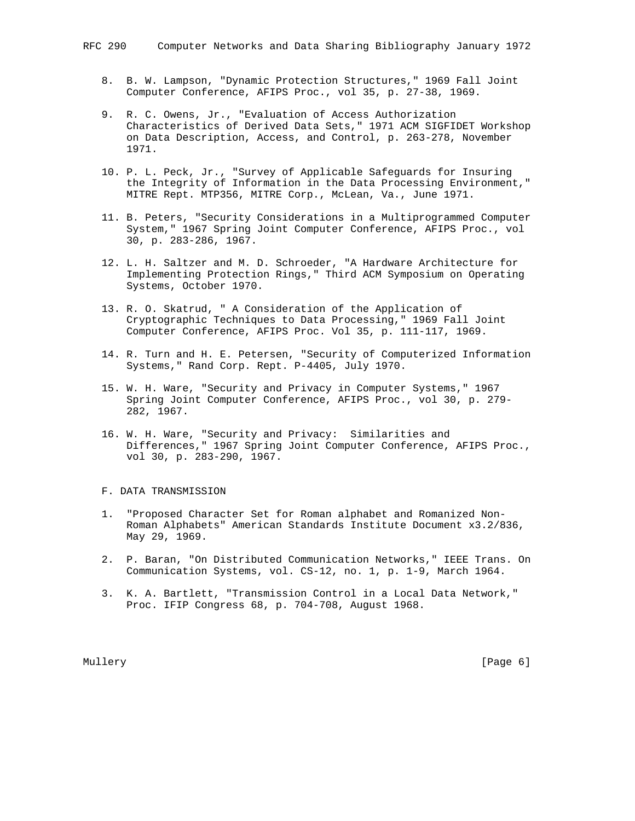- 8. B. W. Lampson, "Dynamic Protection Structures," 1969 Fall Joint Computer Conference, AFIPS Proc., vol 35, p. 27-38, 1969.
- 9. R. C. Owens, Jr., "Evaluation of Access Authorization Characteristics of Derived Data Sets," 1971 ACM SIGFIDET Workshop on Data Description, Access, and Control, p. 263-278, November 1971.
- 10. P. L. Peck, Jr., "Survey of Applicable Safeguards for Insuring the Integrity of Information in the Data Processing Environment," MITRE Rept. MTP356, MITRE Corp., McLean, Va., June 1971.
- 11. B. Peters, "Security Considerations in a Multiprogrammed Computer System," 1967 Spring Joint Computer Conference, AFIPS Proc., vol 30, p. 283-286, 1967.
- 12. L. H. Saltzer and M. D. Schroeder, "A Hardware Architecture for Implementing Protection Rings," Third ACM Symposium on Operating Systems, October 1970.
- 13. R. O. Skatrud, " A Consideration of the Application of Cryptographic Techniques to Data Processing," 1969 Fall Joint Computer Conference, AFIPS Proc. Vol 35, p. 111-117, 1969.
- 14. R. Turn and H. E. Petersen, "Security of Computerized Information Systems," Rand Corp. Rept. P-4405, July 1970.
- 15. W. H. Ware, "Security and Privacy in Computer Systems," 1967 Spring Joint Computer Conference, AFIPS Proc., vol 30, p. 279- 282, 1967.
- 16. W. H. Ware, "Security and Privacy: Similarities and Differences," 1967 Spring Joint Computer Conference, AFIPS Proc., vol 30, p. 283-290, 1967.

#### F. DATA TRANSMISSION

- 1. "Proposed Character Set for Roman alphabet and Romanized Non- Roman Alphabets" American Standards Institute Document x3.2/836, May 29, 1969.
- 2. P. Baran, "On Distributed Communication Networks," IEEE Trans. On Communication Systems, vol. CS-12, no. 1, p. 1-9, March 1964.
- 3. K. A. Bartlett, "Transmission Control in a Local Data Network," Proc. IFIP Congress 68, p. 704-708, August 1968.

Mullery [Page 6] [Page 6] [Page 6] [Page 6] [Page 6] [Page 6] [Page 6] [Page 6] [Page 6] [Page 6] [Page 6] [Page 6] [Page 6] [Page 6] [Page 6] [Page 6] [Page 6] [Page 6] [Page 6] [Page 6] [Page 6] [Page 6] [Page 6] [Page 6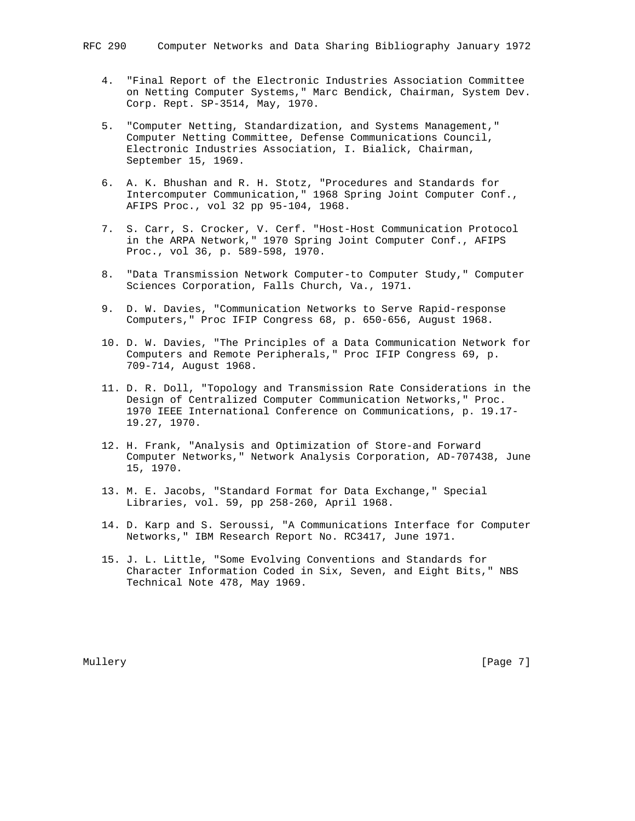- 4. "Final Report of the Electronic Industries Association Committee on Netting Computer Systems," Marc Bendick, Chairman, System Dev. Corp. Rept. SP-3514, May, 1970.
- 5. "Computer Netting, Standardization, and Systems Management," Computer Netting Committee, Defense Communications Council, Electronic Industries Association, I. Bialick, Chairman, September 15, 1969.
- 6. A. K. Bhushan and R. H. Stotz, "Procedures and Standards for Intercomputer Communication," 1968 Spring Joint Computer Conf., AFIPS Proc., vol 32 pp 95-104, 1968.
- 7. S. Carr, S. Crocker, V. Cerf. "Host-Host Communication Protocol in the ARPA Network," 1970 Spring Joint Computer Conf., AFIPS Proc., vol 36, p. 589-598, 1970.
- 8. "Data Transmission Network Computer-to Computer Study," Computer Sciences Corporation, Falls Church, Va., 1971.
- 9. D. W. Davies, "Communication Networks to Serve Rapid-response Computers," Proc IFIP Congress 68, p. 650-656, August 1968.
- 10. D. W. Davies, "The Principles of a Data Communication Network for Computers and Remote Peripherals," Proc IFIP Congress 69, p. 709-714, August 1968.
- 11. D. R. Doll, "Topology and Transmission Rate Considerations in the Design of Centralized Computer Communication Networks," Proc. 1970 IEEE International Conference on Communications, p. 19.17- 19.27, 1970.
- 12. H. Frank, "Analysis and Optimization of Store-and Forward Computer Networks," Network Analysis Corporation, AD-707438, June 15, 1970.
- 13. M. E. Jacobs, "Standard Format for Data Exchange," Special Libraries, vol. 59, pp 258-260, April 1968.
- 14. D. Karp and S. Seroussi, "A Communications Interface for Computer Networks," IBM Research Report No. RC3417, June 1971.
- 15. J. L. Little, "Some Evolving Conventions and Standards for Character Information Coded in Six, Seven, and Eight Bits," NBS Technical Note 478, May 1969.

Mullery [Page 7]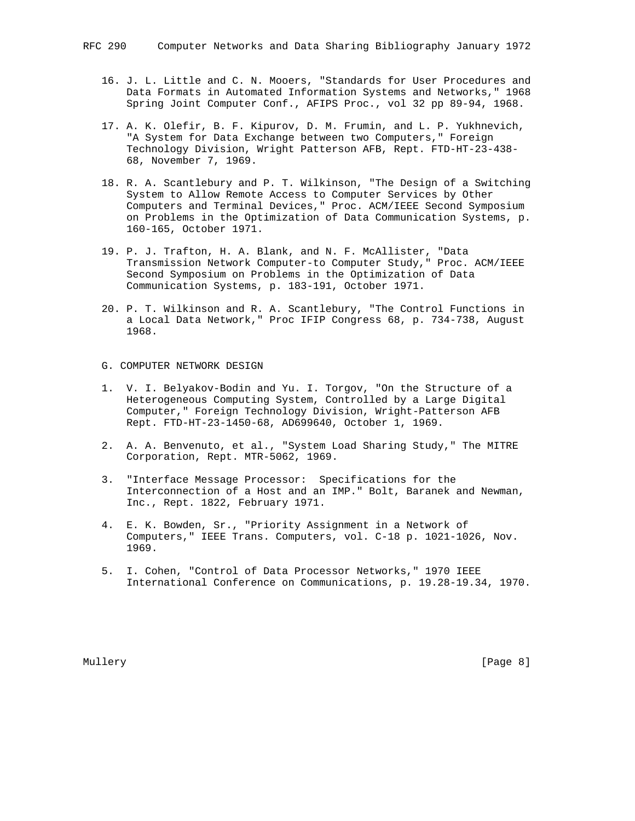- 16. J. L. Little and C. N. Mooers, "Standards for User Procedures and Data Formats in Automated Information Systems and Networks," 1968 Spring Joint Computer Conf., AFIPS Proc., vol 32 pp 89-94, 1968.
- 17. A. K. Olefir, B. F. Kipurov, D. M. Frumin, and L. P. Yukhnevich, "A System for Data Exchange between two Computers," Foreign Technology Division, Wright Patterson AFB, Rept. FTD-HT-23-438- 68, November 7, 1969.
- 18. R. A. Scantlebury and P. T. Wilkinson, "The Design of a Switching System to Allow Remote Access to Computer Services by Other Computers and Terminal Devices," Proc. ACM/IEEE Second Symposium on Problems in the Optimization of Data Communication Systems, p. 160-165, October 1971.
- 19. P. J. Trafton, H. A. Blank, and N. F. McAllister, "Data Transmission Network Computer-to Computer Study," Proc. ACM/IEEE Second Symposium on Problems in the Optimization of Data Communication Systems, p. 183-191, October 1971.
- 20. P. T. Wilkinson and R. A. Scantlebury, "The Control Functions in a Local Data Network," Proc IFIP Congress 68, p. 734-738, August 1968.
- G. COMPUTER NETWORK DESIGN
- 1. V. I. Belyakov-Bodin and Yu. I. Torgov, "On the Structure of a Heterogeneous Computing System, Controlled by a Large Digital Computer," Foreign Technology Division, Wright-Patterson AFB Rept. FTD-HT-23-1450-68, AD699640, October 1, 1969.
- 2. A. A. Benvenuto, et al., "System Load Sharing Study," The MITRE Corporation, Rept. MTR-5062, 1969.
- 3. "Interface Message Processor: Specifications for the Interconnection of a Host and an IMP." Bolt, Baranek and Newman, Inc., Rept. 1822, February 1971.
- 4. E. K. Bowden, Sr., "Priority Assignment in a Network of Computers," IEEE Trans. Computers, vol. C-18 p. 1021-1026, Nov. 1969.
- 5. I. Cohen, "Control of Data Processor Networks," 1970 IEEE International Conference on Communications, p. 19.28-19.34, 1970.

Mullery [Page 8] [Page 8] [Page 8] [Page 8] [Page 8] [Page 8] [Page 8] [Page 8] [Page 8] [Page 8] [Page 8] [Page 8] [Page 8] [Page 8] [Page 8] [Page 8] [Page 8] [Page 8] [Page 8] [Page 8] [Page 8] [Page 8] [Page 8] [Page 8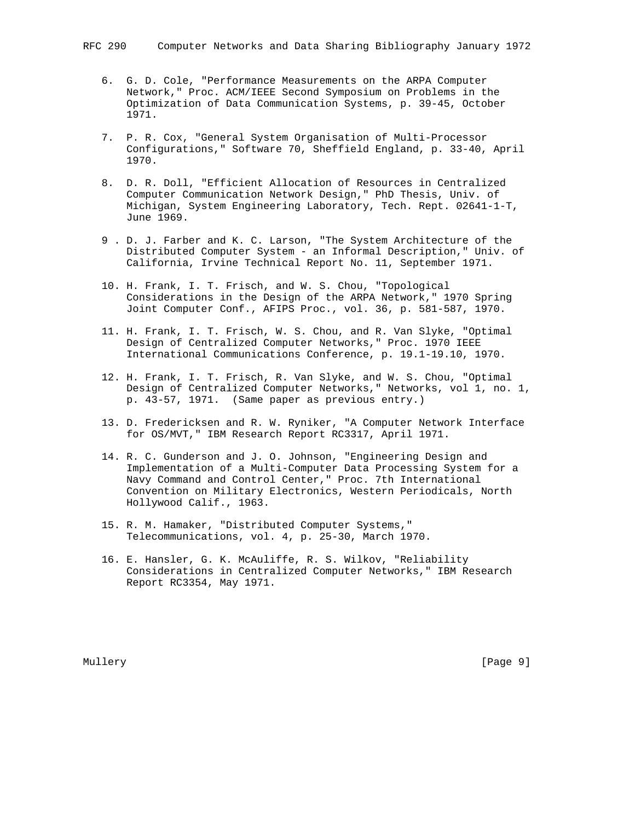- 6. G. D. Cole, "Performance Measurements on the ARPA Computer Network," Proc. ACM/IEEE Second Symposium on Problems in the Optimization of Data Communication Systems, p. 39-45, October 1971.
- 7. P. R. Cox, "General System Organisation of Multi-Processor Configurations," Software 70, Sheffield England, p. 33-40, April 1970.
- 8. D. R. Doll, "Efficient Allocation of Resources in Centralized Computer Communication Network Design," PhD Thesis, Univ. of Michigan, System Engineering Laboratory, Tech. Rept. 02641-1-T, June 1969.
- 9 . D. J. Farber and K. C. Larson, "The System Architecture of the Distributed Computer System - an Informal Description," Univ. of California, Irvine Technical Report No. 11, September 1971.
- 10. H. Frank, I. T. Frisch, and W. S. Chou, "Topological Considerations in the Design of the ARPA Network," 1970 Spring Joint Computer Conf., AFIPS Proc., vol. 36, p. 581-587, 1970.
- 11. H. Frank, I. T. Frisch, W. S. Chou, and R. Van Slyke, "Optimal Design of Centralized Computer Networks," Proc. 1970 IEEE International Communications Conference, p. 19.1-19.10, 1970.
- 12. H. Frank, I. T. Frisch, R. Van Slyke, and W. S. Chou, "Optimal Design of Centralized Computer Networks," Networks, vol 1, no. 1, p. 43-57, 1971. (Same paper as previous entry.)
- 13. D. Fredericksen and R. W. Ryniker, "A Computer Network Interface for OS/MVT," IBM Research Report RC3317, April 1971.
- 14. R. C. Gunderson and J. O. Johnson, "Engineering Design and Implementation of a Multi-Computer Data Processing System for a Navy Command and Control Center," Proc. 7th International Convention on Military Electronics, Western Periodicals, North Hollywood Calif., 1963.
- 15. R. M. Hamaker, "Distributed Computer Systems," Telecommunications, vol. 4, p. 25-30, March 1970.
- 16. E. Hansler, G. K. McAuliffe, R. S. Wilkov, "Reliability Considerations in Centralized Computer Networks," IBM Research Report RC3354, May 1971.

Mullery [Page 9] [Page 9] [Page 9] [Page 9] [Page 9] [Page 9] [Page 9] [Page 9] [Page 9] [Page 9] [Page 9] [Page 9] [Page 9] [Page 9] [Page 9] [Page 9] [Page 9] [Page 9] [Page 9] [Page 9] [Page 9] [Page 9] [Page 9] [Page 9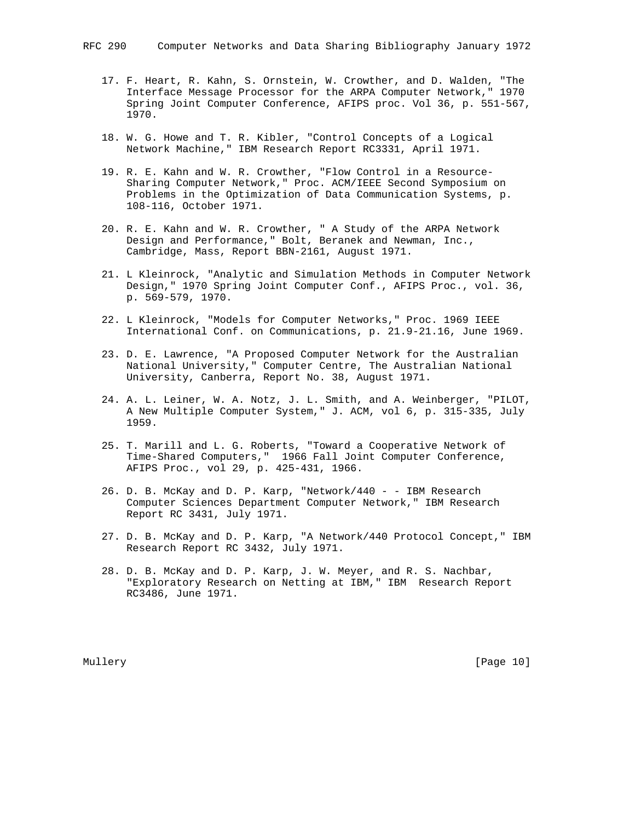- 17. F. Heart, R. Kahn, S. Ornstein, W. Crowther, and D. Walden, "The Interface Message Processor for the ARPA Computer Network," 1970 Spring Joint Computer Conference, AFIPS proc. Vol 36, p. 551-567, 1970.
- 18. W. G. Howe and T. R. Kibler, "Control Concepts of a Logical Network Machine," IBM Research Report RC3331, April 1971.
- 19. R. E. Kahn and W. R. Crowther, "Flow Control in a Resource- Sharing Computer Network," Proc. ACM/IEEE Second Symposium on Problems in the Optimization of Data Communication Systems, p. 108-116, October 1971.
- 20. R. E. Kahn and W. R. Crowther, " A Study of the ARPA Network Design and Performance," Bolt, Beranek and Newman, Inc., Cambridge, Mass, Report BBN-2161, August 1971.
	- 21. L Kleinrock, "Analytic and Simulation Methods in Computer Network Design," 1970 Spring Joint Computer Conf., AFIPS Proc., vol. 36, p. 569-579, 1970.
	- 22. L Kleinrock, "Models for Computer Networks," Proc. 1969 IEEE International Conf. on Communications, p. 21.9-21.16, June 1969.
- 23. D. E. Lawrence, "A Proposed Computer Network for the Australian National University," Computer Centre, The Australian National University, Canberra, Report No. 38, August 1971.
	- 24. A. L. Leiner, W. A. Notz, J. L. Smith, and A. Weinberger, "PILOT, A New Multiple Computer System," J. ACM, vol 6, p. 315-335, July 1959.
	- 25. T. Marill and L. G. Roberts, "Toward a Cooperative Network of Time-Shared Computers," 1966 Fall Joint Computer Conference, AFIPS Proc., vol 29, p. 425-431, 1966.
	- 26. D. B. McKay and D. P. Karp, "Network/440 - IBM Research Computer Sciences Department Computer Network," IBM Research Report RC 3431, July 1971.
	- 27. D. B. McKay and D. P. Karp, "A Network/440 Protocol Concept," IBM Research Report RC 3432, July 1971.
	- 28. D. B. McKay and D. P. Karp, J. W. Meyer, and R. S. Nachbar, "Exploratory Research on Netting at IBM," IBM Research Report RC3486, June 1971.

Mullery [Page 10]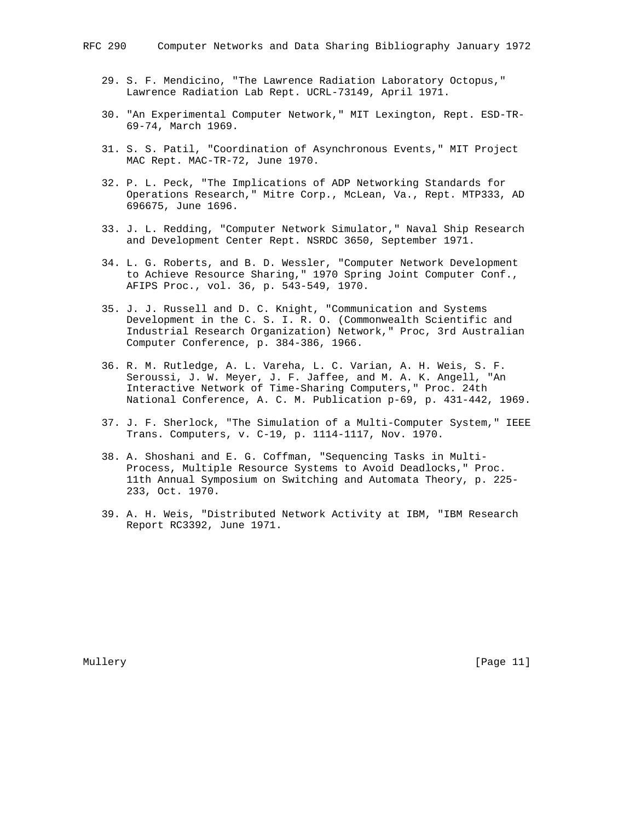- 29. S. F. Mendicino, "The Lawrence Radiation Laboratory Octopus," Lawrence Radiation Lab Rept. UCRL-73149, April 1971.
- 30. "An Experimental Computer Network," MIT Lexington, Rept. ESD-TR- 69-74, March 1969.
- 31. S. S. Patil, "Coordination of Asynchronous Events," MIT Project MAC Rept. MAC-TR-72, June 1970.
- 32. P. L. Peck, "The Implications of ADP Networking Standards for Operations Research," Mitre Corp., McLean, Va., Rept. MTP333, AD 696675, June 1696.
- 33. J. L. Redding, "Computer Network Simulator," Naval Ship Research and Development Center Rept. NSRDC 3650, September 1971.
- 34. L. G. Roberts, and B. D. Wessler, "Computer Network Development to Achieve Resource Sharing," 1970 Spring Joint Computer Conf., AFIPS Proc., vol. 36, p. 543-549, 1970.
- 35. J. J. Russell and D. C. Knight, "Communication and Systems Development in the C. S. I. R. O. (Commonwealth Scientific and Industrial Research Organization) Network," Proc, 3rd Australian Computer Conference, p. 384-386, 1966.
- 36. R. M. Rutledge, A. L. Vareha, L. C. Varian, A. H. Weis, S. F. Seroussi, J. W. Meyer, J. F. Jaffee, and M. A. K. Angell, "An Interactive Network of Time-Sharing Computers," Proc. 24th National Conference, A. C. M. Publication p-69, p. 431-442, 1969.
- 37. J. F. Sherlock, "The Simulation of a Multi-Computer System," IEEE Trans. Computers, v. C-19, p. 1114-1117, Nov. 1970.
- 38. A. Shoshani and E. G. Coffman, "Sequencing Tasks in Multi- Process, Multiple Resource Systems to Avoid Deadlocks," Proc. 11th Annual Symposium on Switching and Automata Theory, p. 225- 233, Oct. 1970.
- 39. A. H. Weis, "Distributed Network Activity at IBM, "IBM Research Report RC3392, June 1971.

Mullery [Page 11]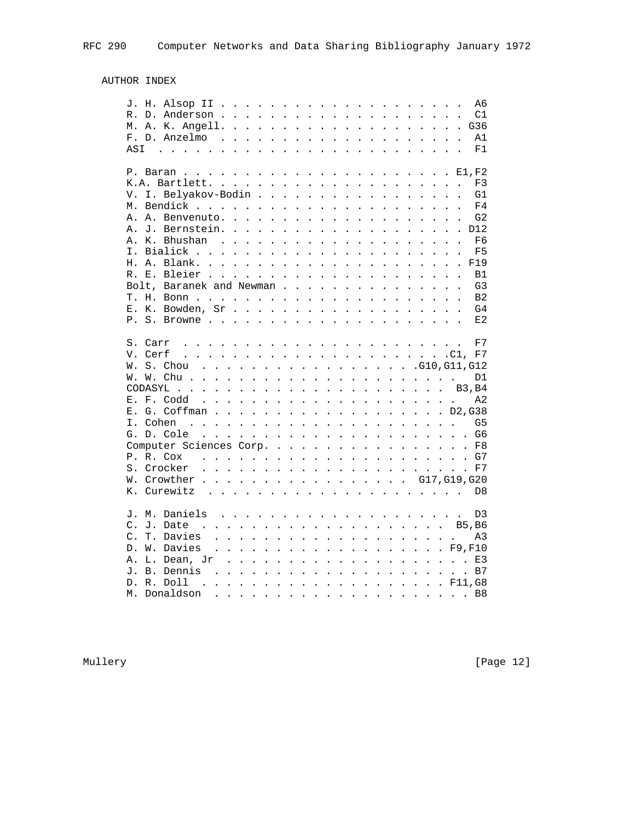# AUTHOR INDEX

|                | A6                                                                                                                                                                                                                                                                                                                                                                                                           |
|----------------|--------------------------------------------------------------------------------------------------------------------------------------------------------------------------------------------------------------------------------------------------------------------------------------------------------------------------------------------------------------------------------------------------------------|
| R.             | C1                                                                                                                                                                                                                                                                                                                                                                                                           |
|                | M. A. K. Angell.                                                                                                                                                                                                                                                                                                                                                                                             |
|                | $F. D. An zelmo$<br>A1                                                                                                                                                                                                                                                                                                                                                                                       |
| ASI            | F1<br>$\sim$ 100 $\sim$ 1000 $\sim$ 1000 $\sim$ 1000 $\sim$ 1000 $\sim$ 1000 $\sim$ 1000 $\sim$ 1000 $\sim$ 1000 $\sim$ 1000 $\sim$                                                                                                                                                                                                                                                                          |
|                |                                                                                                                                                                                                                                                                                                                                                                                                              |
|                | P. Baran                                                                                                                                                                                                                                                                                                                                                                                                     |
|                | K.A. Bartlett.<br>F3                                                                                                                                                                                                                                                                                                                                                                                         |
| V.             | I. Belyakov-Bodin<br>G1                                                                                                                                                                                                                                                                                                                                                                                      |
| М.             | Bendick<br>F4<br>$\mathbf{r}$                                                                                                                                                                                                                                                                                                                                                                                |
|                | G <sub>2</sub><br>A. A. Benvenuto.<br>$\mathbf{L}$                                                                                                                                                                                                                                                                                                                                                           |
|                | A. J. Bernstein.                                                                                                                                                                                                                                                                                                                                                                                             |
|                |                                                                                                                                                                                                                                                                                                                                                                                                              |
|                | A. K. Bhushan<br>F6<br>$\mathbf{r}$ .<br>$\frac{1}{2}$                                                                                                                                                                                                                                                                                                                                                       |
|                | I. Bialick<br>F <sub>5</sub><br>$\mathbf{r}$<br>$\ddot{\phantom{a}}$<br>$\mathbf{1}$ $\mathbf{1}$ $\mathbf{1}$ $\mathbf{1}$<br>$\mathbf{r}$<br>$\ddot{\phantom{0}}$                                                                                                                                                                                                                                          |
|                | H. A. Blank. .<br>F19<br>.<br>$\mathbf{L}$                                                                                                                                                                                                                                                                                                                                                                   |
|                | B1                                                                                                                                                                                                                                                                                                                                                                                                           |
|                | Bolt, Baranek and Newman<br>G3                                                                                                                                                                                                                                                                                                                                                                               |
|                | B <sub>2</sub>                                                                                                                                                                                                                                                                                                                                                                                               |
|                | $E. K. Bowden, Sr.$<br>G4                                                                                                                                                                                                                                                                                                                                                                                    |
|                | E2                                                                                                                                                                                                                                                                                                                                                                                                           |
|                |                                                                                                                                                                                                                                                                                                                                                                                                              |
|                | F7                                                                                                                                                                                                                                                                                                                                                                                                           |
|                | V. CerfC1, F7                                                                                                                                                                                                                                                                                                                                                                                                |
|                | . G10, G11, G12<br>W. S. Chou<br>$\sim$ $\sim$ $\sim$                                                                                                                                                                                                                                                                                                                                                        |
|                | W. W. Chu.<br>D1<br>$\frac{1}{2}$ . The contract of the contract of the contract of the contract of the contract of the contract of the contract of the contract of the contract of the contract of the contract of the contract of the contract of t                                                                                                                                                        |
|                | CODASYL<br><b>B3, B4</b><br>.<br>$\ddot{\phantom{a}}$                                                                                                                                                                                                                                                                                                                                                        |
|                | E. F. Codd<br>A2<br>$\mathcal{L}^{(1)}\left( \mathcal{L}^{(1)}\left( \mathcal{L}^{(1)}\left( \mathcal{L}^{(1)}\left( \mathcal{L}^{(1)}\left( \mathcal{L}^{(1)}\left( \mathcal{L}^{(1)}\left( \mathcal{L}^{(1)}\left( \mathcal{L}^{(1)}\left( \mathcal{L}^{(1)}\left( \mathcal{L}^{(1)}\right) \mathcal{L}^{(1)}\left( \mathcal{L}^{(1)}\right) \right)\right)\right)\right) \right) \right)$<br>$\mathbf{L}$ |
|                | E. G. Coffman D2, G38                                                                                                                                                                                                                                                                                                                                                                                        |
|                | I. Cohen<br>G5<br>$\frac{1}{2}$ , $\frac{1}{2}$ , $\frac{1}{2}$ , $\frac{1}{2}$ , $\frac{1}{2}$ , $\frac{1}{2}$ , $\frac{1}{2}$ , $\frac{1}{2}$ , $\frac{1}{2}$ , $\frac{1}{2}$ , $\frac{1}{2}$<br>$\mathbf{r}$ , $\mathbf{r}$ , $\mathbf{r}$ , $\mathbf{r}$ , $\mathbf{r}$ , $\mathbf{r}$                                                                                                                   |
|                |                                                                                                                                                                                                                                                                                                                                                                                                              |
|                |                                                                                                                                                                                                                                                                                                                                                                                                              |
|                | Computer Sciences Corp.<br>$\ldots$ F8                                                                                                                                                                                                                                                                                                                                                                       |
|                |                                                                                                                                                                                                                                                                                                                                                                                                              |
|                |                                                                                                                                                                                                                                                                                                                                                                                                              |
|                | W. Crowther G17, G19, G20                                                                                                                                                                                                                                                                                                                                                                                    |
|                | K. Curewitz<br>D <sub>8</sub>                                                                                                                                                                                                                                                                                                                                                                                |
|                |                                                                                                                                                                                                                                                                                                                                                                                                              |
| J. M.          | Daniels<br>D3                                                                                                                                                                                                                                                                                                                                                                                                |
| $\mathsf{C}$ . | . B5, B6<br>J. Date<br>$\sim$ $\sim$ $\sim$                                                                                                                                                                                                                                                                                                                                                                  |
| $\mathsf{C}$ . | Davies<br>a característica de la característica de la característica<br><b>T</b> .<br>A3                                                                                                                                                                                                                                                                                                                     |
|                | D. W. Davies<br>. F9,F10<br>$\sim$                                                                                                                                                                                                                                                                                                                                                                           |
| Α.             | L. Dean, Jr<br>E3<br>$\mathbf{L}^{\text{max}}$<br>$\frac{1}{2}$<br>$\sim$ $\sim$                                                                                                                                                                                                                                                                                                                             |
|                | J. B. Dennis<br>$\mathbb{R}^2$                                                                                                                                                                                                                                                                                                                                                                               |
|                | D. R. Doll                                                                                                                                                                                                                                                                                                                                                                                                   |
|                | M. Donaldson<br>B8<br>a construction of the construction of the construction of the construction of the construction of the construction of the construction of the construction of the construction of the construction of the construction of the                                                                                                                                                          |
|                |                                                                                                                                                                                                                                                                                                                                                                                                              |

Mullery [Page 12]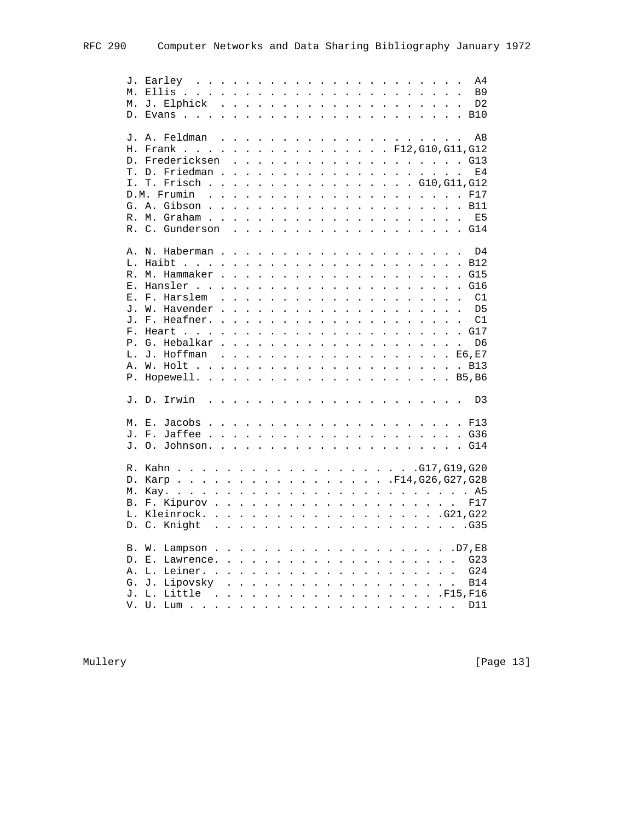|    |                                                                                                                    |              |                                                           |                                                                                                                                                                                                                                      |  |                                                                          |                      |  |                                                                 |                                                                                                                                                                               |                      | A4                                |
|----|--------------------------------------------------------------------------------------------------------------------|--------------|-----------------------------------------------------------|--------------------------------------------------------------------------------------------------------------------------------------------------------------------------------------------------------------------------------------|--|--------------------------------------------------------------------------|----------------------|--|-----------------------------------------------------------------|-------------------------------------------------------------------------------------------------------------------------------------------------------------------------------|----------------------|-----------------------------------|
| М. |                                                                                                                    |              |                                                           |                                                                                                                                                                                                                                      |  |                                                                          |                      |  |                                                                 |                                                                                                                                                                               |                      | <b>B9</b><br>$\ddot{\phantom{a}}$ |
|    |                                                                                                                    |              |                                                           |                                                                                                                                                                                                                                      |  |                                                                          |                      |  |                                                                 |                                                                                                                                                                               |                      | D <sub>2</sub>                    |
|    |                                                                                                                    |              |                                                           |                                                                                                                                                                                                                                      |  |                                                                          |                      |  |                                                                 |                                                                                                                                                                               |                      |                                   |
|    |                                                                                                                    |              |                                                           |                                                                                                                                                                                                                                      |  |                                                                          |                      |  |                                                                 |                                                                                                                                                                               |                      |                                   |
|    | J. A. Feldman                                                                                                      |              |                                                           |                                                                                                                                                                                                                                      |  |                                                                          |                      |  |                                                                 |                                                                                                                                                                               |                      | A8                                |
|    | H. Frank F12, G10, G11, G12                                                                                        |              |                                                           |                                                                                                                                                                                                                                      |  |                                                                          |                      |  |                                                                 |                                                                                                                                                                               |                      |                                   |
|    | D. Fredericksen                                                                                                    |              |                                                           |                                                                                                                                                                                                                                      |  |                                                                          |                      |  |                                                                 |                                                                                                                                                                               |                      |                                   |
|    | T. D. Friedman                                                                                                     |              | $\sim$ $\sim$                                             | $\mathbf{L}$                                                                                                                                                                                                                         |  |                                                                          |                      |  |                                                                 | $\frac{1}{2}$ , $\frac{1}{2}$ , $\frac{1}{2}$ , $\frac{1}{2}$ , $\frac{1}{2}$ , $\frac{1}{2}$ , $\frac{1}{2}$ , $\frac{1}{2}$ , $\frac{1}{2}$ , $\frac{1}{2}$ , $\frac{1}{2}$ |                      | E4                                |
| Ι. | T. FrischG10,G11,G12                                                                                               |              |                                                           |                                                                                                                                                                                                                                      |  |                                                                          |                      |  |                                                                 |                                                                                                                                                                               |                      |                                   |
|    |                                                                                                                    |              |                                                           |                                                                                                                                                                                                                                      |  |                                                                          |                      |  |                                                                 |                                                                                                                                                                               |                      |                                   |
|    | D.M. Frumin.                                                                                                       |              |                                                           |                                                                                                                                                                                                                                      |  |                                                                          |                      |  |                                                                 | and a series of the contract of the contract of the contract of the contract of the contract of the contract of                                                               |                      | F17                               |
|    |                                                                                                                    |              |                                                           |                                                                                                                                                                                                                                      |  |                                                                          |                      |  |                                                                 |                                                                                                                                                                               |                      |                                   |
|    |                                                                                                                    |              |                                                           |                                                                                                                                                                                                                                      |  |                                                                          |                      |  |                                                                 |                                                                                                                                                                               |                      | E <sub>5</sub>                    |
|    | R. C. Gunderson                                                                                                    |              |                                                           |                                                                                                                                                                                                                                      |  |                                                                          |                      |  |                                                                 |                                                                                                                                                                               |                      |                                   |
|    |                                                                                                                    |              |                                                           |                                                                                                                                                                                                                                      |  |                                                                          |                      |  |                                                                 |                                                                                                                                                                               |                      |                                   |
|    | A. N. Haberman                                                                                                     |              |                                                           |                                                                                                                                                                                                                                      |  |                                                                          |                      |  | $\frac{1}{2}$                                                   |                                                                                                                                                                               |                      | D4                                |
|    |                                                                                                                    |              |                                                           |                                                                                                                                                                                                                                      |  |                                                                          |                      |  |                                                                 |                                                                                                                                                                               |                      |                                   |
|    | R. M. Hammaker                                                                                                     |              | $\mathbf{r}$ , $\mathbf{r}$ , $\mathbf{r}$ , $\mathbf{r}$ |                                                                                                                                                                                                                                      |  | $\mathbf{r}$ , $\mathbf{r}$ , $\mathbf{r}$ , $\mathbf{r}$ , $\mathbf{r}$ |                      |  |                                                                 | $\mathbf{r}$ and $\mathbf{r}$ and $\mathbf{r}$ and $\mathbf{r}$                                                                                                               |                      | $\cdot$ $\cdot$ G15               |
|    | E. Hansler                                                                                                         | $\mathbf{L}$ |                                                           | $\ddot{\phantom{0}}$                                                                                                                                                                                                                 |  | $\cdot$ $\cdot$ $\cdot$ $\cdot$ $\cdot$ $\cdot$                          | $\ddot{\phantom{0}}$ |  | $\cdot$ $\cdot$ $\cdot$ $\cdot$ $\cdot$ $\cdot$                 |                                                                                                                                                                               | $\ddot{\phantom{0}}$ | G16<br>$\ddot{\phantom{0}}$       |
|    | E. F. Harslem<br>$\ddot{\phantom{a}}$                                                                              |              |                                                           | $\mathbf{L}$ . The set of $\mathbf{L}$                                                                                                                                                                                               |  | $\mathbf{r}$ . The set of the set of $\mathbf{r}$                        |                      |  | $\mathbf{r}$ . The set of $\mathbf{r}$                          |                                                                                                                                                                               |                      | C1                                |
|    | J. W. Havender<br>$\mathbf{r}$                                                                                     |              |                                                           | <u>and a straight and a straight and a straight and a straight and a straight and a straight and a straight and a straight and a straight and a straight and a straight and a straight and a straight and a straight and a strai</u> |  |                                                                          |                      |  | $\mathbf{r}$ and $\mathbf{r}$ and $\mathbf{r}$ and $\mathbf{r}$ |                                                                                                                                                                               |                      | . . D5                            |
|    |                                                                                                                    |              |                                                           |                                                                                                                                                                                                                                      |  |                                                                          |                      |  |                                                                 |                                                                                                                                                                               |                      | C1                                |
|    | F. Heart                                                                                                           |              |                                                           | $\mathbf{r}$ and $\mathbf{r}$ and $\mathbf{r}$                                                                                                                                                                                       |  | $\mathbf{r}$ and $\mathbf{r}$ and $\mathbf{r}$ and $\mathbf{r}$          |                      |  |                                                                 |                                                                                                                                                                               |                      | . G17                             |
|    | P. G. Hebalkar<br>$\ddot{\phantom{a}}$                                                                             |              |                                                           |                                                                                                                                                                                                                                      |  |                                                                          |                      |  |                                                                 |                                                                                                                                                                               |                      | D6                                |
|    |                                                                                                                    |              |                                                           |                                                                                                                                                                                                                                      |  |                                                                          |                      |  |                                                                 |                                                                                                                                                                               |                      |                                   |
|    | L. J. Hoffman E6,E7                                                                                                |              |                                                           |                                                                                                                                                                                                                                      |  |                                                                          |                      |  |                                                                 |                                                                                                                                                                               |                      |                                   |
|    |                                                                                                                    |              |                                                           |                                                                                                                                                                                                                                      |  |                                                                          |                      |  |                                                                 |                                                                                                                                                                               |                      |                                   |
|    |                                                                                                                    |              |                                                           |                                                                                                                                                                                                                                      |  |                                                                          |                      |  |                                                                 |                                                                                                                                                                               |                      |                                   |
|    | J. D. Irwin<br>. The contract of the contract of the contract of the contract of the contract of the $\mathcal{A}$ |              |                                                           |                                                                                                                                                                                                                                      |  |                                                                          |                      |  |                                                                 |                                                                                                                                                                               |                      | D <sub>3</sub>                    |
|    |                                                                                                                    |              |                                                           |                                                                                                                                                                                                                                      |  |                                                                          |                      |  |                                                                 |                                                                                                                                                                               |                      |                                   |
|    |                                                                                                                    |              |                                                           |                                                                                                                                                                                                                                      |  |                                                                          |                      |  |                                                                 |                                                                                                                                                                               |                      |                                   |
|    |                                                                                                                    |              |                                                           |                                                                                                                                                                                                                                      |  |                                                                          |                      |  |                                                                 |                                                                                                                                                                               |                      |                                   |
|    |                                                                                                                    |              |                                                           |                                                                                                                                                                                                                                      |  |                                                                          |                      |  |                                                                 |                                                                                                                                                                               |                      |                                   |
|    |                                                                                                                    |              |                                                           |                                                                                                                                                                                                                                      |  |                                                                          |                      |  |                                                                 |                                                                                                                                                                               |                      |                                   |
|    | D. Karp F14, G26, G27, G28                                                                                         |              |                                                           |                                                                                                                                                                                                                                      |  |                                                                          |                      |  |                                                                 |                                                                                                                                                                               |                      |                                   |
|    |                                                                                                                    |              |                                                           |                                                                                                                                                                                                                                      |  |                                                                          |                      |  |                                                                 |                                                                                                                                                                               |                      |                                   |
|    | M. Kay.                                                                                                            |              |                                                           |                                                                                                                                                                                                                                      |  |                                                                          |                      |  |                                                                 |                                                                                                                                                                               |                      |                                   |
|    |                                                                                                                    |              |                                                           |                                                                                                                                                                                                                                      |  |                                                                          |                      |  |                                                                 |                                                                                                                                                                               |                      | F17                               |
|    |                                                                                                                    |              |                                                           |                                                                                                                                                                                                                                      |  |                                                                          |                      |  |                                                                 |                                                                                                                                                                               |                      |                                   |
|    | D. C. Knight                                                                                                       |              |                                                           |                                                                                                                                                                                                                                      |  |                                                                          |                      |  |                                                                 |                                                                                                                                                                               |                      |                                   |
|    |                                                                                                                    |              |                                                           |                                                                                                                                                                                                                                      |  |                                                                          |                      |  |                                                                 |                                                                                                                                                                               |                      |                                   |
|    | Lampson D7, E8<br>B. W.                                                                                            |              |                                                           |                                                                                                                                                                                                                                      |  |                                                                          |                      |  |                                                                 |                                                                                                                                                                               |                      |                                   |
|    | D. E. Lawrence.                                                                                                    |              |                                                           |                                                                                                                                                                                                                                      |  |                                                                          |                      |  |                                                                 |                                                                                                                                                                               |                      | G23                               |
| Α. |                                                                                                                    |              |                                                           |                                                                                                                                                                                                                                      |  |                                                                          |                      |  |                                                                 |                                                                                                                                                                               |                      |                                   |
|    | G. J. Lipovsky                                                                                                     |              |                                                           |                                                                                                                                                                                                                                      |  |                                                                          |                      |  |                                                                 | .                                                                                                                                                                             |                      | <b>B14</b>                        |
|    | J. L.<br>Little<br>$\sim$<br>$\ddot{\phantom{a}}$                                                                  |              |                                                           |                                                                                                                                                                                                                                      |  |                                                                          |                      |  |                                                                 |                                                                                                                                                                               |                      | . F15, F16                        |
|    | V. U.                                                                                                              |              |                                                           |                                                                                                                                                                                                                                      |  |                                                                          |                      |  |                                                                 |                                                                                                                                                                               |                      | D11                               |

Mullery [Page 13]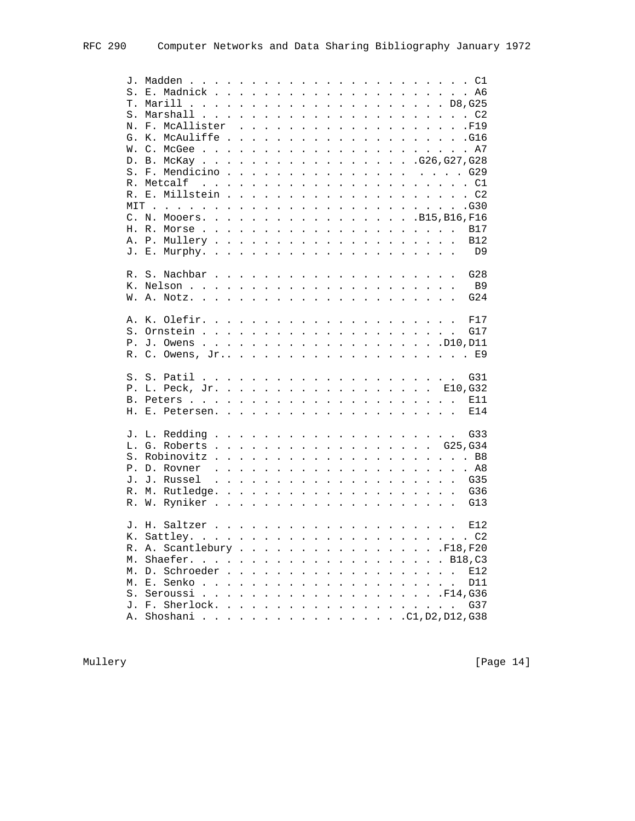|    | N. F. McAllister            |  |  |  |  |  |  |                             |
|----|-----------------------------|--|--|--|--|--|--|-----------------------------|
|    | G. K. McAuliffe.            |  |  |  |  |  |  |                             |
|    |                             |  |  |  |  |  |  |                             |
|    |                             |  |  |  |  |  |  |                             |
|    | D. B. McKay G26, G27, G28   |  |  |  |  |  |  |                             |
|    |                             |  |  |  |  |  |  |                             |
|    | R. Metcalf                  |  |  |  |  |  |  |                             |
|    |                             |  |  |  |  |  |  |                             |
|    |                             |  |  |  |  |  |  |                             |
|    | C. N. Mooers. B15, B16, F16 |  |  |  |  |  |  |                             |
|    |                             |  |  |  |  |  |  |                             |
|    |                             |  |  |  |  |  |  |                             |
|    |                             |  |  |  |  |  |  |                             |
|    |                             |  |  |  |  |  |  |                             |
|    |                             |  |  |  |  |  |  | G28                         |
|    |                             |  |  |  |  |  |  |                             |
|    |                             |  |  |  |  |  |  | <b>B9</b>                   |
|    |                             |  |  |  |  |  |  | G24                         |
|    |                             |  |  |  |  |  |  | F17                         |
|    |                             |  |  |  |  |  |  | G17                         |
|    |                             |  |  |  |  |  |  |                             |
|    |                             |  |  |  |  |  |  |                             |
|    |                             |  |  |  |  |  |  |                             |
|    |                             |  |  |  |  |  |  | G31                         |
|    | P. L. Peck, Jr. E10, G32    |  |  |  |  |  |  |                             |
|    |                             |  |  |  |  |  |  |                             |
|    |                             |  |  |  |  |  |  | E14                         |
|    |                             |  |  |  |  |  |  |                             |
|    |                             |  |  |  |  |  |  | G33                         |
|    | L. G. Roberts G25,G34       |  |  |  |  |  |  |                             |
|    |                             |  |  |  |  |  |  |                             |
|    | P. D. Rovner                |  |  |  |  |  |  |                             |
|    | J. J. Russel                |  |  |  |  |  |  |                             |
|    |                             |  |  |  |  |  |  |                             |
|    |                             |  |  |  |  |  |  |                             |
|    |                             |  |  |  |  |  |  |                             |
|    |                             |  |  |  |  |  |  |                             |
|    |                             |  |  |  |  |  |  |                             |
|    | R. A. Scantlebury F18, F20  |  |  |  |  |  |  |                             |
|    | Shaefer.                    |  |  |  |  |  |  | . B18, C3                   |
| М. |                             |  |  |  |  |  |  |                             |
| М. | D. Schroeder                |  |  |  |  |  |  | E12                         |
| М. |                             |  |  |  |  |  |  | D11<br>$\ddot{\phantom{0}}$ |
| S. |                             |  |  |  |  |  |  |                             |
| J. |                             |  |  |  |  |  |  | G37                         |
| Α. | Shoshani C1, D2, D12, G38   |  |  |  |  |  |  |                             |

Mullery [Page 14]